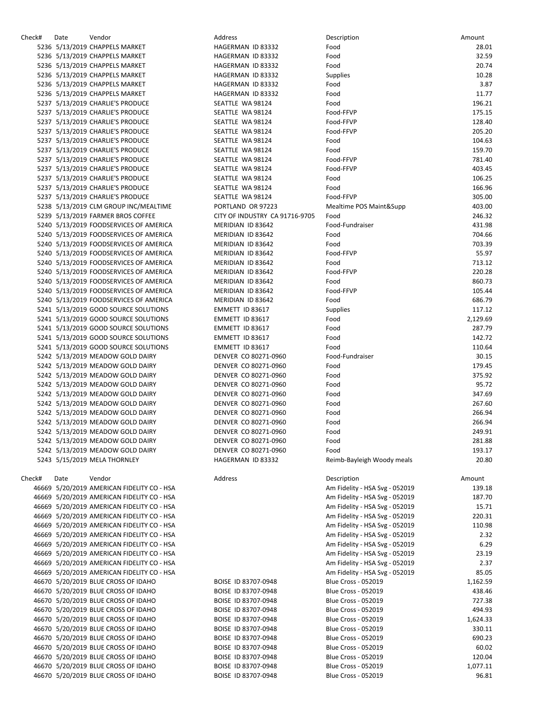| Check# | Date | Vendor                                     | Address                        | Description                    | Amount   |
|--------|------|--------------------------------------------|--------------------------------|--------------------------------|----------|
|        |      | 5236 5/13/2019 CHAPPELS MARKET             | HAGERMAN ID 83332              | Food                           | 28.01    |
|        |      | 5236 5/13/2019 CHAPPELS MARKET             | HAGERMAN ID 83332              | Food                           | 32.59    |
|        |      | 5236 5/13/2019 CHAPPELS MARKET             | HAGERMAN ID 83332              | Food                           | 20.74    |
|        |      | 5236 5/13/2019 CHAPPELS MARKET             | HAGERMAN ID 83332              | <b>Supplies</b>                | 10.28    |
|        |      | 5236 5/13/2019 CHAPPELS MARKET             | HAGERMAN ID 83332              | Food                           | 3.87     |
|        |      | 5236 5/13/2019 CHAPPELS MARKET             | HAGERMAN ID 83332              | Food                           | 11.77    |
|        |      | 5237 5/13/2019 CHARLIE'S PRODUCE           | SEATTLE WA 98124               | Food                           | 196.21   |
|        |      |                                            |                                |                                |          |
|        |      | 5237 5/13/2019 CHARLIE'S PRODUCE           | SEATTLE WA 98124               | Food-FFVP                      | 175.15   |
|        |      | 5237 5/13/2019 CHARLIE'S PRODUCE           | SEATTLE WA 98124               | Food-FFVP                      | 128.40   |
|        |      | 5237 5/13/2019 CHARLIE'S PRODUCE           | SEATTLE WA 98124               | Food-FFVP                      | 205.20   |
|        |      | 5237 5/13/2019 CHARLIE'S PRODUCE           | SEATTLE WA 98124               | Food                           | 104.63   |
|        |      | 5237 5/13/2019 CHARLIE'S PRODUCE           | SEATTLE WA 98124               | Food                           | 159.70   |
|        |      | 5237 5/13/2019 CHARLIE'S PRODUCE           | SEATTLE WA 98124               | Food-FFVP                      | 781.40   |
|        |      | 5237 5/13/2019 CHARLIE'S PRODUCE           | SEATTLE WA 98124               | Food-FFVP                      | 403.45   |
|        |      | 5237 5/13/2019 CHARLIE'S PRODUCE           | SEATTLE WA 98124               | Food                           | 106.25   |
|        |      | 5237 5/13/2019 CHARLIE'S PRODUCE           | SEATTLE WA 98124               | Food                           | 166.96   |
|        |      |                                            |                                |                                |          |
|        |      | 5237 5/13/2019 CHARLIE'S PRODUCE           | SEATTLE WA 98124               | Food-FFVP                      | 305.00   |
|        |      | 5238 5/13/2019 CLM GROUP INC/MEALTIME      | PORTLAND OR 97223              | Mealtime POS Maint&Supp        | 403.00   |
|        |      | 5239 5/13/2019 FARMER BROS COFFEE          | CITY OF INDUSTRY CA 91716-9705 | Food                           | 246.32   |
|        |      | 5240 5/13/2019 FOODSERVICES OF AMERICA     | MERIDIAN ID 83642              | Food-Fundraiser                | 431.98   |
|        |      | 5240 5/13/2019 FOODSERVICES OF AMERICA     | MERIDIAN ID 83642              | Food                           | 704.66   |
|        |      | 5240 5/13/2019 FOODSERVICES OF AMERICA     | MERIDIAN ID 83642              | Food                           | 703.39   |
|        |      | 5240 5/13/2019 FOODSERVICES OF AMERICA     | MERIDIAN ID 83642              | Food-FFVP                      | 55.97    |
|        |      | 5240 5/13/2019 FOODSERVICES OF AMERICA     | MERIDIAN ID 83642              | Food                           | 713.12   |
|        |      | 5240 5/13/2019 FOODSERVICES OF AMERICA     | MERIDIAN ID 83642              | Food-FFVP                      | 220.28   |
|        |      |                                            |                                |                                |          |
|        |      | 5240 5/13/2019 FOODSERVICES OF AMERICA     | MERIDIAN ID 83642              | Food                           | 860.73   |
|        |      | 5240 5/13/2019 FOODSERVICES OF AMERICA     | MERIDIAN ID 83642              | Food-FFVP                      | 105.44   |
|        |      | 5240 5/13/2019 FOODSERVICES OF AMERICA     | MERIDIAN ID 83642              | Food                           | 686.79   |
|        |      | 5241 5/13/2019 GOOD SOURCE SOLUTIONS       | EMMETT ID 83617                | <b>Supplies</b>                | 117.12   |
|        |      | 5241 5/13/2019 GOOD SOURCE SOLUTIONS       | EMMETT ID 83617                | Food                           | 2,129.69 |
|        |      | 5241 5/13/2019 GOOD SOURCE SOLUTIONS       | EMMETT ID 83617                | Food                           | 287.79   |
|        |      | 5241 5/13/2019 GOOD SOURCE SOLUTIONS       | EMMETT ID 83617                | Food                           | 142.72   |
|        |      | 5241 5/13/2019 GOOD SOURCE SOLUTIONS       | EMMETT ID 83617                | Food                           | 110.64   |
|        |      | 5242 5/13/2019 MEADOW GOLD DAIRY           | DENVER CO 80271-0960           | Food-Fundraiser                | 30.15    |
|        |      |                                            |                                |                                | 179.45   |
|        |      | 5242 5/13/2019 MEADOW GOLD DAIRY           | DENVER CO 80271-0960           | Food                           |          |
|        |      | 5242 5/13/2019 MEADOW GOLD DAIRY           | DENVER CO 80271-0960           | Food                           | 375.92   |
|        |      | 5242 5/13/2019 MEADOW GOLD DAIRY           | DENVER CO 80271-0960           | Food                           | 95.72    |
|        |      | 5242 5/13/2019 MEADOW GOLD DAIRY           | DENVER CO 80271-0960           | Food                           | 347.69   |
|        |      | 5242 5/13/2019 MEADOW GOLD DAIRY           | DENVER CO 80271-0960           | Food                           | 267.60   |
|        |      | 5242 5/13/2019 MEADOW GOLD DAIRY           | DENVER CO 80271-0960           | Food                           | 266.94   |
|        |      | 5242 5/13/2019 MEADOW GOLD DAIRY           | DENVER CO 80271-0960           | Food                           | 266.94   |
|        |      | 5242 5/13/2019 MEADOW GOLD DAIRY           | DENVER CO 80271-0960           | Food                           | 249.91   |
|        |      | 5242 5/13/2019 MEADOW GOLD DAIRY           | DENVER CO 80271-0960           | Food                           | 281.88   |
|        |      | 5242 5/13/2019 MEADOW GOLD DAIRY           | DENVER CO 80271-0960           |                                | 193.17   |
|        |      |                                            |                                | Food                           |          |
|        |      | 5243 5/15/2019 MELA THORNLEY               | HAGERMAN ID 83332              | Reimb-Bayleigh Woody meals     | 20.80    |
| Check# | Date | Vendor                                     | Address                        | Description                    | Amount   |
|        |      | 46669 5/20/2019 AMERICAN FIDELITY CO - HSA |                                | Am Fidelity - HSA Svg - 052019 | 139.18   |
|        |      | 46669 5/20/2019 AMERICAN FIDELITY CO - HSA |                                | Am Fidelity - HSA Svg - 052019 | 187.70   |
|        |      | 46669 5/20/2019 AMERICAN FIDELITY CO - HSA |                                | Am Fidelity - HSA Svg - 052019 | 15.71    |
|        |      |                                            |                                |                                |          |
|        |      | 46669 5/20/2019 AMERICAN FIDELITY CO - HSA |                                | Am Fidelity - HSA Svg - 052019 | 220.31   |
|        |      | 46669 5/20/2019 AMERICAN FIDELITY CO - HSA |                                | Am Fidelity - HSA Svg - 052019 | 110.98   |
|        |      | 46669 5/20/2019 AMERICAN FIDELITY CO - HSA |                                | Am Fidelity - HSA Svg - 052019 | 2.32     |
|        |      | 46669 5/20/2019 AMERICAN FIDELITY CO - HSA |                                | Am Fidelity - HSA Svg - 052019 | 6.29     |
|        |      | 46669 5/20/2019 AMERICAN FIDELITY CO - HSA |                                | Am Fidelity - HSA Svg - 052019 | 23.19    |
|        |      | 46669 5/20/2019 AMERICAN FIDELITY CO - HSA |                                | Am Fidelity - HSA Svg - 052019 | 2.37     |
|        |      | 46669 5/20/2019 AMERICAN FIDELITY CO - HSA |                                | Am Fidelity - HSA Svg - 052019 | 85.05    |
|        |      | 46670 5/20/2019 BLUE CROSS OF IDAHO        | BOISE ID 83707-0948            | <b>Blue Cross - 052019</b>     | 1,162.59 |
|        |      | 46670 5/20/2019 BLUE CROSS OF IDAHO        | BOISE ID 83707-0948            | <b>Blue Cross - 052019</b>     | 438.46   |
|        |      | 46670 5/20/2019 BLUE CROSS OF IDAHO        | BOISE ID 83707-0948            | <b>Blue Cross - 052019</b>     | 727.38   |
|        |      |                                            |                                |                                |          |
|        |      | 46670 5/20/2019 BLUE CROSS OF IDAHO        | BOISE ID 83707-0948            | <b>Blue Cross - 052019</b>     | 494.93   |
|        |      | 46670 5/20/2019 BLUE CROSS OF IDAHO        | BOISE ID 83707-0948            | <b>Blue Cross - 052019</b>     | 1,624.33 |
|        |      | 46670 5/20/2019 BLUE CROSS OF IDAHO        | BOISE ID 83707-0948            | <b>Blue Cross - 052019</b>     | 330.11   |
|        |      | 46670 5/20/2019 BLUE CROSS OF IDAHO        | BOISE ID 83707-0948            | <b>Blue Cross - 052019</b>     | 690.23   |
|        |      | 46670 5/20/2019 BLUE CROSS OF IDAHO        | BOISE ID 83707-0948            | <b>Blue Cross - 052019</b>     | 60.02    |
|        |      | 46670 5/20/2019 BLUE CROSS OF IDAHO        | BOISE ID 83707-0948            | <b>Blue Cross - 052019</b>     | 120.04   |
|        |      | 46670 5/20/2019 BLUE CROSS OF IDAHO        | BOISE ID 83707-0948            | <b>Blue Cross - 052019</b>     | 1,077.11 |
|        |      | 46670 5/20/2019 BLUE CROSS OF IDAHO        | BOISE ID 83707-0948            | <b>Blue Cross - 052019</b>     | 96.81    |
|        |      |                                            |                                |                                |          |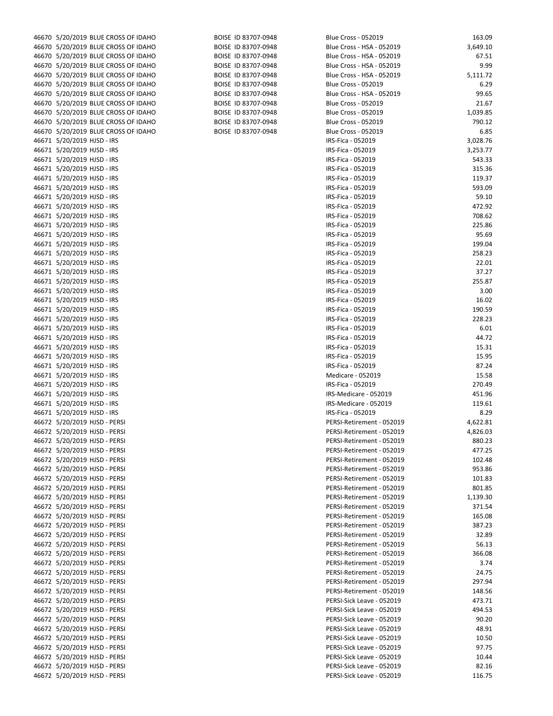| 46670 5/20/2019 BLUE CROSS OF IDAHO | BOISE ID 83707-0948 | <b>Blue Cross - 052019</b> | 163.09   |
|-------------------------------------|---------------------|----------------------------|----------|
| 46670 5/20/2019 BLUE CROSS OF IDAHO | BOISE ID 83707-0948 | Blue Cross - HSA - 052019  | 3,649.10 |
| 46670 5/20/2019 BLUE CROSS OF IDAHO | BOISE ID 83707-0948 | Blue Cross - HSA - 052019  | 67.51    |
|                                     |                     |                            |          |
| 46670 5/20/2019 BLUE CROSS OF IDAHO | BOISE ID 83707-0948 | Blue Cross - HSA - 052019  | 9.99     |
| 46670 5/20/2019 BLUE CROSS OF IDAHO | BOISE ID 83707-0948 | Blue Cross - HSA - 052019  | 5,111.72 |
| 46670 5/20/2019 BLUE CROSS OF IDAHO | BOISE ID 83707-0948 | <b>Blue Cross - 052019</b> | 6.29     |
| 46670 5/20/2019 BLUE CROSS OF IDAHO | BOISE ID 83707-0948 | Blue Cross - HSA - 052019  | 99.65    |
| 46670 5/20/2019 BLUE CROSS OF IDAHO | BOISE ID 83707-0948 | <b>Blue Cross - 052019</b> | 21.67    |
| 46670 5/20/2019 BLUE CROSS OF IDAHO | BOISE ID 83707-0948 | <b>Blue Cross - 052019</b> | 1,039.85 |
| 46670 5/20/2019 BLUE CROSS OF IDAHO | BOISE ID 83707-0948 | <b>Blue Cross - 052019</b> | 790.12   |
| 46670 5/20/2019 BLUE CROSS OF IDAHO | BOISE ID 83707-0948 | <b>Blue Cross - 052019</b> | 6.85     |
| 46671 5/20/2019 HJSD - IRS          |                     | IRS-Fica - 052019          | 3,028.76 |
| 46671 5/20/2019 HJSD - IRS          |                     | IRS-Fica - 052019          | 3,253.77 |
| 46671 5/20/2019 HJSD - IRS          |                     | IRS-Fica - 052019          | 543.33   |
| 46671 5/20/2019 HJSD - IRS          |                     | IRS-Fica - 052019          | 315.36   |
| 46671 5/20/2019 HJSD - IRS          |                     | IRS-Fica - 052019          | 119.37   |
| 46671 5/20/2019 HJSD - IRS          |                     | IRS-Fica - 052019          | 593.09   |
| 46671 5/20/2019 HJSD - IRS          |                     | IRS-Fica - 052019          | 59.10    |
| 46671 5/20/2019 HJSD - IRS          |                     | IRS-Fica - 052019          | 472.92   |
| 46671 5/20/2019 HJSD - IRS          |                     | IRS-Fica - 052019          | 708.62   |
|                                     |                     |                            | 225.86   |
| 46671 5/20/2019 HJSD - IRS          |                     | IRS-Fica - 052019          |          |
| 46671 5/20/2019 HJSD - IRS          |                     | IRS-Fica - 052019          | 95.69    |
| 46671 5/20/2019 HJSD - IRS          |                     | IRS-Fica - 052019          | 199.04   |
| 46671 5/20/2019 HJSD - IRS          |                     | IRS-Fica - 052019          | 258.23   |
| 46671 5/20/2019 HJSD - IRS          |                     | IRS-Fica - 052019          | 22.01    |
| 46671 5/20/2019 HJSD - IRS          |                     | IRS-Fica - 052019          | 37.27    |
| 46671 5/20/2019 HJSD - IRS          |                     | IRS-Fica - 052019          | 255.87   |
| 46671 5/20/2019 HJSD - IRS          |                     | IRS-Fica - 052019          | 3.00     |
| 46671 5/20/2019 HJSD - IRS          |                     | IRS-Fica - 052019          | 16.02    |
| 46671 5/20/2019 HJSD - IRS          |                     | IRS-Fica - 052019          | 190.59   |
| 46671 5/20/2019 HJSD - IRS          |                     | IRS-Fica - 052019          | 228.23   |
| 46671 5/20/2019 HJSD - IRS          |                     | IRS-Fica - 052019          | 6.01     |
| 46671 5/20/2019 HJSD - IRS          |                     | IRS-Fica - 052019          | 44.72    |
| 46671 5/20/2019 HJSD - IRS          |                     | IRS-Fica - 052019          | 15.31    |
| 46671 5/20/2019 HJSD - IRS          |                     | IRS-Fica - 052019          | 15.95    |
| 46671 5/20/2019 HJSD - IRS          |                     | IRS-Fica - 052019          | 87.24    |
| 46671 5/20/2019 HJSD - IRS          |                     | Medicare - 052019          | 15.58    |
| 46671 5/20/2019 HJSD - IRS          |                     | IRS-Fica - 052019          | 270.49   |
| 46671 5/20/2019 HJSD - IRS          |                     |                            |          |
|                                     |                     | IRS-Medicare - 052019      | 451.96   |
| 46671 5/20/2019 HJSD - IRS          |                     | IRS-Medicare - 052019      | 119.61   |
| 46671 5/20/2019 HJSD - IRS          |                     | IRS-Fica - 052019          | 8.29     |
| 46672 5/20/2019 HJSD - PERSI        |                     | PERSI-Retirement - 052019  | 4,622.81 |
| 46672 5/20/2019 HJSD - PERSI        |                     | PERSI-Retirement - 052019  | 4,826.03 |
| 46672 5/20/2019 HJSD - PERSI        |                     | PERSI-Retirement - 052019  | 880.23   |
| 46672 5/20/2019 HJSD - PERSI        |                     | PERSI-Retirement - 052019  | 477.25   |
| 46672 5/20/2019 HJSD - PERSI        |                     | PERSI-Retirement - 052019  | 102.48   |
| 46672 5/20/2019 HJSD - PERSI        |                     | PERSI-Retirement - 052019  | 953.86   |
| 46672 5/20/2019 HJSD - PERSI        |                     | PERSI-Retirement - 052019  | 101.83   |
| 46672 5/20/2019 HJSD - PERSI        |                     | PERSI-Retirement - 052019  | 801.85   |
| 46672 5/20/2019 HJSD - PERSI        |                     | PERSI-Retirement - 052019  | 1,139.30 |
| 46672 5/20/2019 HJSD - PERSI        |                     | PERSI-Retirement - 052019  | 371.54   |
| 46672 5/20/2019 HJSD - PERSI        |                     | PERSI-Retirement - 052019  | 165.08   |
| 46672 5/20/2019 HJSD - PERSI        |                     | PERSI-Retirement - 052019  | 387.23   |
| 46672 5/20/2019 HJSD - PERSI        |                     | PERSI-Retirement - 052019  | 32.89    |
| 46672 5/20/2019 HJSD - PERSI        |                     | PERSI-Retirement - 052019  | 56.13    |
| 46672 5/20/2019 HJSD - PERSI        |                     | PERSI-Retirement - 052019  | 366.08   |
| 46672 5/20/2019 HJSD - PERSI        |                     | PERSI-Retirement - 052019  | 3.74     |
|                                     |                     |                            | 24.75    |
| 46672 5/20/2019 HJSD - PERSI        |                     | PERSI-Retirement - 052019  |          |
| 46672 5/20/2019 HJSD - PERSI        |                     | PERSI-Retirement - 052019  | 297.94   |
| 46672 5/20/2019 HJSD - PERSI        |                     | PERSI-Retirement - 052019  | 148.56   |
| 46672 5/20/2019 HJSD - PERSI        |                     | PERSI-Sick Leave - 052019  | 473.71   |
| 46672 5/20/2019 HJSD - PERSI        |                     | PERSI-Sick Leave - 052019  | 494.53   |
| 46672 5/20/2019 HJSD - PERSI        |                     | PERSI-Sick Leave - 052019  | 90.20    |
| 46672 5/20/2019 HJSD - PERSI        |                     | PERSI-Sick Leave - 052019  | 48.91    |
| 46672 5/20/2019 HJSD - PERSI        |                     | PERSI-Sick Leave - 052019  | 10.50    |
| 46672 5/20/2019 HJSD - PERSI        |                     | PERSI-Sick Leave - 052019  | 97.75    |
| 46672 5/20/2019 HJSD - PERSI        |                     | PERSI-Sick Leave - 052019  | 10.44    |
| 46672 5/20/2019 HJSD - PERSI        |                     | PERSI-Sick Leave - 052019  | 82.16    |
| 46672 5/20/2019 HJSD - PERSI        |                     | PERSI-Sick Leave - 052019  | 116.75   |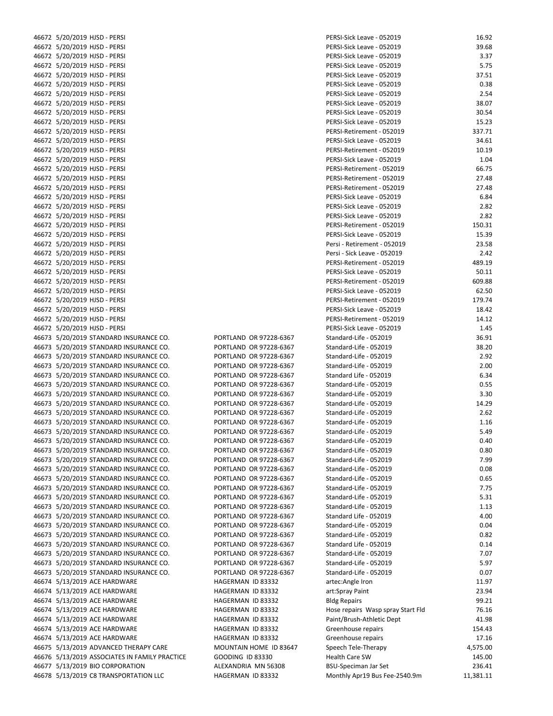| 46672 5/20/2019 HJSD - PERSI                  |                        | PERSI-Sick Leave - 052019         | 16.92     |
|-----------------------------------------------|------------------------|-----------------------------------|-----------|
| 46672 5/20/2019 HJSD - PERSI                  |                        | PERSI-Sick Leave - 052019         | 39.68     |
| 46672 5/20/2019 HJSD - PERSI                  |                        | PERSI-Sick Leave - 052019         | 3.37      |
|                                               |                        |                                   |           |
| 46672 5/20/2019 HJSD - PERSI                  |                        | PERSI-Sick Leave - 052019         | 5.75      |
| 46672 5/20/2019 HJSD - PERSI                  |                        | PERSI-Sick Leave - 052019         | 37.51     |
| 46672 5/20/2019 HJSD - PERSI                  |                        | PERSI-Sick Leave - 052019         | 0.38      |
| 46672 5/20/2019 HJSD - PERSI                  |                        | PERSI-Sick Leave - 052019         | 2.54      |
| 46672 5/20/2019 HJSD - PERSI                  |                        | PERSI-Sick Leave - 052019         | 38.07     |
|                                               |                        |                                   |           |
| 46672 5/20/2019 HJSD - PERSI                  |                        | PERSI-Sick Leave - 052019         | 30.54     |
| 46672 5/20/2019 HJSD - PERSI                  |                        | PERSI-Sick Leave - 052019         | 15.23     |
| 46672 5/20/2019 HJSD - PERSI                  |                        | PERSI-Retirement - 052019         | 337.71    |
| 46672 5/20/2019 HJSD - PERSI                  |                        | PERSI-Sick Leave - 052019         | 34.61     |
|                                               |                        |                                   |           |
| 46672 5/20/2019 HJSD - PERSI                  |                        | PERSI-Retirement - 052019         | 10.19     |
| 46672 5/20/2019 HJSD - PERSI                  |                        | PERSI-Sick Leave - 052019         | 1.04      |
| 46672 5/20/2019 HJSD - PERSI                  |                        | PERSI-Retirement - 052019         | 66.75     |
| 46672 5/20/2019 HJSD - PERSI                  |                        | PERSI-Retirement - 052019         | 27.48     |
|                                               |                        |                                   |           |
| 46672 5/20/2019 HJSD - PERSI                  |                        | PERSI-Retirement - 052019         | 27.48     |
| 46672 5/20/2019 HJSD - PERSI                  |                        | PERSI-Sick Leave - 052019         | 6.84      |
| 46672 5/20/2019 HJSD - PERSI                  |                        | PERSI-Sick Leave - 052019         | 2.82      |
| 46672 5/20/2019 HJSD - PERSI                  |                        | PERSI-Sick Leave - 052019         | 2.82      |
|                                               |                        |                                   |           |
| 46672 5/20/2019 HJSD - PERSI                  |                        | PERSI-Retirement - 052019         | 150.31    |
| 46672 5/20/2019 HJSD - PERSI                  |                        | PERSI-Sick Leave - 052019         | 15.39     |
| 46672 5/20/2019 HJSD - PERSI                  |                        | Persi - Retirement - 052019       | 23.58     |
| 46672 5/20/2019 HJSD - PERSI                  |                        | Persi - Sick Leave - 052019       | 2.42      |
|                                               |                        |                                   |           |
| 46672 5/20/2019 HJSD - PERSI                  |                        | PERSI-Retirement - 052019         | 489.19    |
| 46672 5/20/2019 HJSD - PERSI                  |                        | PERSI-Sick Leave - 052019         | 50.11     |
| 46672 5/20/2019 HJSD - PERSI                  |                        | PERSI-Retirement - 052019         | 609.88    |
| 46672 5/20/2019 HJSD - PERSI                  |                        | PERSI-Sick Leave - 052019         | 62.50     |
| 46672 5/20/2019 HJSD - PERSI                  |                        | PERSI-Retirement - 052019         | 179.74    |
|                                               |                        |                                   |           |
| 46672 5/20/2019 HJSD - PERSI                  |                        | PERSI-Sick Leave - 052019         | 18.42     |
| 46672 5/20/2019 HJSD - PERSI                  |                        | PERSI-Retirement - 052019         | 14.12     |
| 46672 5/20/2019 HJSD - PERSI                  |                        | PERSI-Sick Leave - 052019         | 1.45      |
| 46673 5/20/2019 STANDARD INSURANCE CO.        | PORTLAND OR 97228-6367 | Standard-Life - 052019            | 36.91     |
|                                               |                        |                                   |           |
| 46673 5/20/2019 STANDARD INSURANCE CO.        | PORTLAND OR 97228-6367 | Standard-Life - 052019            | 38.20     |
| 46673 5/20/2019 STANDARD INSURANCE CO.        | PORTLAND OR 97228-6367 | Standard-Life - 052019            | 2.92      |
| 46673 5/20/2019 STANDARD INSURANCE CO.        | PORTLAND OR 97228-6367 | Standard-Life - 052019            | 2.00      |
| 46673 5/20/2019 STANDARD INSURANCE CO.        | PORTLAND OR 97228-6367 | Standard Life - 052019            | 6.34      |
|                                               |                        |                                   |           |
| 46673 5/20/2019 STANDARD INSURANCE CO.        | PORTLAND OR 97228-6367 | Standard-Life - 052019            | 0.55      |
| 46673 5/20/2019 STANDARD INSURANCE CO.        | PORTLAND OR 97228-6367 | Standard-Life - 052019            | 3.30      |
| 46673 5/20/2019 STANDARD INSURANCE CO.        | PORTLAND OR 97228-6367 | Standard-Life - 052019            | 14.29     |
| 46673 5/20/2019 STANDARD INSURANCE CO.        | PORTLAND OR 97228-6367 | Standard-Life - 052019            | 2.62      |
|                                               |                        |                                   |           |
| 46673 5/20/2019 STANDARD INSURANCE CO.        | PORTLAND OR 97228-6367 | Standard-Life - 052019            | 1.16      |
| 46673 5/20/2019 STANDARD INSURANCE CO.        | PORTLAND OR 97228-6367 | Standard-Life - 052019            | 5.49      |
| 46673 5/20/2019 STANDARD INSURANCE CO.        | PORTLAND OR 97228-6367 | Standard-Life - 052019            | 0.40      |
| 46673 5/20/2019 STANDARD INSURANCE CO.        | PORTLAND OR 97228-6367 | Standard-Life - 052019            | 0.80      |
|                                               |                        |                                   |           |
| 46673 5/20/2019 STANDARD INSURANCE CO.        | PORTLAND OR 97228-6367 | Standard-Life - 052019            | 7.99      |
| 46673 5/20/2019 STANDARD INSURANCE CO.        | PORTLAND OR 97228-6367 | Standard-Life - 052019            | 0.08      |
| 46673 5/20/2019 STANDARD INSURANCE CO.        | PORTLAND OR 97228-6367 | Standard-Life - 052019            | 0.65      |
| 46673 5/20/2019 STANDARD INSURANCE CO.        | PORTLAND OR 97228-6367 | Standard-Life - 052019            | 7.75      |
|                                               | PORTLAND OR 97228-6367 |                                   |           |
| 46673 5/20/2019 STANDARD INSURANCE CO.        |                        | Standard-Life - 052019            | 5.31      |
| 46673 5/20/2019 STANDARD INSURANCE CO.        | PORTLAND OR 97228-6367 | Standard-Life - 052019            | 1.13      |
| 46673 5/20/2019 STANDARD INSURANCE CO.        | PORTLAND OR 97228-6367 | Standard Life - 052019            | 4.00      |
| 46673 5/20/2019 STANDARD INSURANCE CO.        | PORTLAND OR 97228-6367 | Standard-Life - 052019            | 0.04      |
|                                               |                        | Standard-Life - 052019            |           |
| 46673 5/20/2019 STANDARD INSURANCE CO.        | PORTLAND OR 97228-6367 |                                   | 0.82      |
| 46673 5/20/2019 STANDARD INSURANCE CO.        | PORTLAND OR 97228-6367 | Standard Life - 052019            | 0.14      |
| 46673 5/20/2019 STANDARD INSURANCE CO.        | PORTLAND OR 97228-6367 | Standard-Life - 052019            | 7.07      |
| 46673 5/20/2019 STANDARD INSURANCE CO.        | PORTLAND OR 97228-6367 | Standard-Life - 052019            | 5.97      |
| 46673 5/20/2019 STANDARD INSURANCE CO.        | PORTLAND OR 97228-6367 | Standard-Life - 052019            | 0.07      |
|                                               |                        |                                   |           |
| 46674 5/13/2019 ACE HARDWARE                  | HAGERMAN ID 83332      | artec:Angle Iron                  | 11.97     |
| 46674 5/13/2019 ACE HARDWARE                  | HAGERMAN ID 83332      | art:Spray Paint                   | 23.94     |
| 46674 5/13/2019 ACE HARDWARE                  | HAGERMAN ID 83332      | <b>Bldg Repairs</b>               | 99.21     |
| 46674 5/13/2019 ACE HARDWARE                  |                        |                                   | 76.16     |
|                                               | HAGERMAN ID 83332      | Hose repairs Wasp spray Start Fld |           |
| 46674 5/13/2019 ACE HARDWARE                  | HAGERMAN ID 83332      | Paint/Brush-Athletic Dept         | 41.98     |
| 46674 5/13/2019 ACE HARDWARE                  | HAGERMAN ID 83332      | Greenhouse repairs                | 154.43    |
| 46674 5/13/2019 ACE HARDWARE                  | HAGERMAN ID 83332      | Greenhouse repairs                | 17.16     |
| 46675 5/13/2019 ADVANCED THERAPY CARE         | MOUNTAIN HOME ID 83647 | Speech Tele-Therapy               | 4,575.00  |
|                                               |                        |                                   |           |
| 46676 5/13/2019 ASSOCIATES IN FAMILY PRACTICE | GOODING ID 83330       | <b>Health Care SW</b>             | 145.00    |
| 46677 5/13/2019 BIO CORPORATION               | ALEXANDRIA MN 56308    | <b>BSU-Speciman Jar Set</b>       | 236.41    |
| 46678 5/13/2019 C8 TRANSPORTATION LLC         | HAGERMAN ID 83332      | Monthly Apr19 Bus Fee-2540.9m     | 11,381.11 |
|                                               |                        |                                   |           |

| PERSI-Sick Leave - 052019         | 16.92    |
|-----------------------------------|----------|
| PERSI-Sick Leave - 052019         | 39.68    |
| PERSI-Sick Leave - 052019         | 3.37     |
| PERSI-Sick Leave - 052019         | 5.75     |
| PERSI-Sick Leave - 052019         | 37.51    |
| PERSI-Sick Leave - 052019         | 0.38     |
| PERSI-Sick Leave - 052019         | 2.54     |
| PERSI-Sick Leave - 052019         | 38.07    |
| PERSI-Sick Leave - 052019         | 30.54    |
| PERSI-Sick Leave - 052019         |          |
|                                   | 15.23    |
| PERSI-Retirement - 052019         | 337.71   |
| PERSI-Sick Leave - 052019         | 34.61    |
| PERSI-Retirement - 052019         | 10.19    |
| PERSI-Sick Leave - 052019         | 1.04     |
| PERSI-Retirement - 052019         | 66.75    |
| PERSI-Retirement - 052019         | 27.48    |
| PERSI-Retirement - 052019         | 27.48    |
| PERSI-Sick Leave - 052019         | 6.84     |
| PERSI-Sick Leave - 052019         | 2.82     |
| PERSI-Sick Leave - 052019         | 2.82     |
| PERSI-Retirement - 052019         | 150.31   |
| PERSI-Sick Leave - 052019         | 15.39    |
| Persi - Retirement - 052019       | 23.58    |
| Persi - Sick Leave - 052019       | 2.42     |
| PERSI-Retirement - 052019         | 489.19   |
| PERSI-Sick Leave - 052019         | 50.11    |
| PERSI-Retirement - 052019         | 609.88   |
|                                   |          |
| PERSI-Sick Leave - 052019         | 62.50    |
| PERSI-Retirement - 052019         | 179.74   |
| PERSI-Sick Leave - 052019         | 18.42    |
| PERSI-Retirement - 052019         | 14.12    |
| PERSI-Sick Leave - 052019         | 1.45     |
| Standard-Life - 052019            | 36.91    |
| Standard-Life - 052019            | 38.20    |
| Standard-Life - 052019            | 2.92     |
| Standard-Life - 052019            | 2.00     |
| Standard Life - 052019            | 6.34     |
| Standard-Life - 052019            | 0.55     |
| Standard-Life - 052019            | 3.30     |
| Standard-Life - 052019            | 14.29    |
| Standard-Life - 052019            | 2.62     |
| Standard-Life - 052019            | 1.16     |
| Standard-Life - 052019            | 5.49     |
| Standard-Life - 052019            | 0.40     |
| Standard-Life - 052019            | 0.80     |
| Standard-Life - 052019            | 7.99     |
| Standard-Life - 052019            | 0.08     |
| Standard-Life - 052019            | 0.65     |
| Standard-Life - 052019            | 7.75     |
| Standard-Life - 052019            | 5.31     |
| Standard-Life - 052019            | 1.13     |
| Standard Life - 052019            | 4.00     |
| Standard-Life - 052019            |          |
|                                   | 0.04     |
| Standard-Life - 052019            | 0.82     |
| Standard Life - 052019            | 0.14     |
| Standard-Life - 052019            | 7.07     |
| Standard-Life - 052019            | 5.97     |
| Standard-Life - 052019            | 0.07     |
| artec:Angle Iron                  | 11.97    |
| art:Spray Paint                   | 23.94    |
| <b>Bldg Repairs</b>               | 99.21    |
| Hose repairs Wasp spray Start Fld | 76.16    |
| Paint/Brush-Athletic Dept         | 41.98    |
| Greenhouse repairs                | 154.43   |
| Greenhouse repairs                | 17.16    |
| Speech Tele-Therapy               | 4,575.00 |
| <b>Health Care SW</b>             | 145.00   |
| <b>BSU-Speciman Jar Set</b>       | 236.41   |
|                                   |          |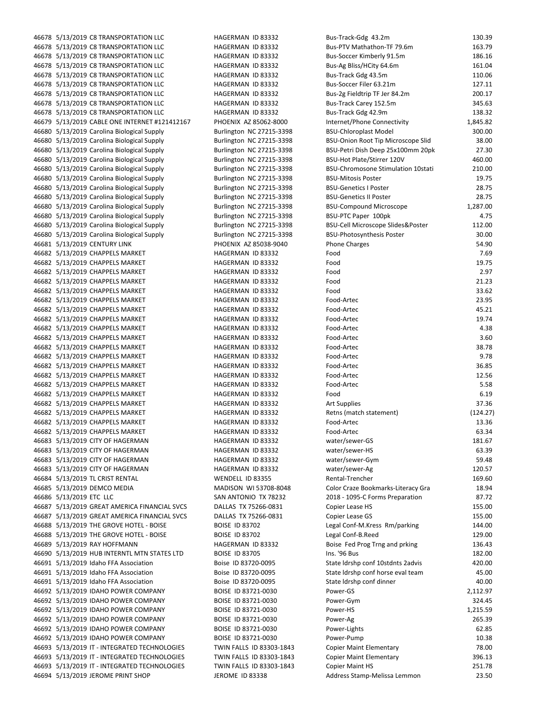| 46678 5/13/2019 C8 TRANSPORTATION LLC         | HAGERMAN ID 83332        | Bus-Track-Gdg 43.2m                       | 130.39   |
|-----------------------------------------------|--------------------------|-------------------------------------------|----------|
| 46678 5/13/2019 C8 TRANSPORTATION LLC         | HAGERMAN ID 83332        | Bus-PTV Mathathon-TF 79.6m                | 163.79   |
| 46678 5/13/2019 C8 TRANSPORTATION LLC         | HAGERMAN ID 83332        | Bus-Soccer Kimberly 91.5m                 | 186.16   |
| 46678 5/13/2019 C8 TRANSPORTATION LLC         | HAGERMAN ID 83332        | Bus-Ag Bliss/HCity 64.6m                  | 161.04   |
| 46678 5/13/2019 C8 TRANSPORTATION LLC         | HAGERMAN ID 83332        | Bus-Track Gdg 43.5m                       | 110.06   |
| 46678 5/13/2019 C8 TRANSPORTATION LLC         | HAGERMAN ID 83332        | Bus-Soccer Filer 63.21m                   | 127.11   |
| 46678 5/13/2019 C8 TRANSPORTATION LLC         | HAGERMAN ID 83332        | Bus-2g Fieldtrip TF Jer 84.2m             | 200.17   |
| 46678 5/13/2019 C8 TRANSPORTATION LLC         | HAGERMAN ID 83332        | Bus-Track Carey 152.5m                    | 345.63   |
| 46678 5/13/2019 C8 TRANSPORTATION LLC         | HAGERMAN ID 83332        | Bus-Track Gdg 42.9m                       | 138.32   |
| 46679 5/13/2019 CABLE ONE INTERNET #121412167 | PHOENIX AZ 85062-8000    | Internet/Phone Connectivity               | 1,845.82 |
| 46680 5/13/2019 Carolina Biological Supply    | Burlington NC 27215-3398 | <b>BSU-Chloroplast Model</b>              | 300.00   |
| 46680 5/13/2019 Carolina Biological Supply    | Burlington NC 27215-3398 | <b>BSU-Onion Root Tip Microscope Slid</b> | 38.00    |
| 46680 5/13/2019 Carolina Biological Supply    | Burlington NC 27215-3398 | BSU-Petri Dish Deep 25x100mm 20pk         | 27.30    |
| 46680 5/13/2019 Carolina Biological Supply    | Burlington NC 27215-3398 | BSU-Hot Plate/Stirrer 120V                | 460.00   |
| 46680 5/13/2019 Carolina Biological Supply    | Burlington NC 27215-3398 | <b>BSU-Chromosone Stimulation 10stati</b> | 210.00   |
| 46680 5/13/2019 Carolina Biological Supply    | Burlington NC 27215-3398 | <b>BSU-Mitosis Poster</b>                 | 19.75    |
| 46680 5/13/2019 Carolina Biological Supply    | Burlington NC 27215-3398 | <b>BSU-Genetics I Poster</b>              | 28.75    |
| 46680 5/13/2019 Carolina Biological Supply    | Burlington NC 27215-3398 | <b>BSU-Genetics II Poster</b>             | 28.75    |
| 46680 5/13/2019 Carolina Biological Supply    | Burlington NC 27215-3398 | <b>BSU-Compound Microscope</b>            | 1,287.00 |
| 46680 5/13/2019 Carolina Biological Supply    | Burlington NC 27215-3398 | BSU-PTC Paper 100pk                       | 4.75     |
| 46680 5/13/2019 Carolina Biological Supply    | Burlington NC 27215-3398 | BSU-Cell Microscope Slides&Poster         | 112.00   |
| 46680 5/13/2019 Carolina Biological Supply    | Burlington NC 27215-3398 | <b>BSU-Photosynthesis Poster</b>          | 30.00    |
| 46681 5/13/2019 CENTURY LINK                  | PHOENIX AZ 85038-9040    | <b>Phone Charges</b>                      | 54.90    |
| 46682 5/13/2019 CHAPPELS MARKET               | HAGERMAN ID 83332        | Food                                      | 7.69     |
| 46682 5/13/2019 CHAPPELS MARKET               | HAGERMAN ID 83332        | Food                                      | 19.75    |
| 46682 5/13/2019 CHAPPELS MARKET               | HAGERMAN ID 83332        | Food                                      | 2.97     |
| 46682 5/13/2019 CHAPPELS MARKET               | HAGERMAN ID 83332        | Food                                      | 21.23    |
| 46682 5/13/2019 CHAPPELS MARKET               | HAGERMAN ID 83332        | Food                                      | 33.62    |
| 46682 5/13/2019 CHAPPELS MARKET               | HAGERMAN ID 83332        | Food-Artec                                | 23.95    |
| 46682 5/13/2019 CHAPPELS MARKET               | HAGERMAN ID 83332        | Food-Artec                                | 45.21    |
| 46682 5/13/2019 CHAPPELS MARKET               | HAGERMAN ID 83332        | Food-Artec                                | 19.74    |
| 46682 5/13/2019 CHAPPELS MARKET               | HAGERMAN ID 83332        | Food-Artec                                | 4.38     |
| 46682 5/13/2019 CHAPPELS MARKET               | HAGERMAN ID 83332        | Food-Artec                                | 3.60     |
| 46682 5/13/2019 CHAPPELS MARKET               | HAGERMAN ID 83332        | Food-Artec                                | 38.78    |
| 46682 5/13/2019 CHAPPELS MARKET               | HAGERMAN ID 83332        | Food-Artec                                | 9.78     |
| 46682 5/13/2019 CHAPPELS MARKET               | HAGERMAN ID 83332        | Food-Artec                                | 36.85    |
| 46682 5/13/2019 CHAPPELS MARKET               | HAGERMAN ID 83332        | Food-Artec                                | 12.56    |
| 46682 5/13/2019 CHAPPELS MARKET               | HAGERMAN ID 83332        | Food-Artec                                | 5.58     |
| 46682 5/13/2019 CHAPPELS MARKET               | HAGERMAN ID 83332        | Food                                      | 6.19     |
| 46682 5/13/2019 CHAPPELS MARKET               | HAGERMAN ID 83332        | <b>Art Supplies</b>                       | 37.36    |
| 46682 5/13/2019 CHAPPELS MARKET               | HAGERMAN ID 83332        | Retns (match statement)                   | (124.27) |
| 46682 5/13/2019 CHAPPELS MARKET               | HAGERMAN ID 83332        | Food-Artec                                | 13.36    |
| 46682 5/13/2019 CHAPPELS MARKET               | HAGERMAN ID 83332        | Food-Artec                                | 63.34    |
| 46683 5/13/2019 CITY OF HAGERMAN              | HAGERMAN ID 83332        | water/sewer-GS                            | 181.67   |
| 46683 5/13/2019 CITY OF HAGERMAN              | HAGERMAN ID 83332        | water/sewer-HS                            | 63.39    |
| 46683 5/13/2019 CITY OF HAGERMAN              | HAGERMAN ID 83332        | water/sewer-Gym                           | 59.48    |
| 46683 5/13/2019 CITY OF HAGERMAN              | HAGERMAN ID 83332        | water/sewer-Ag                            | 120.57   |
| 46684 5/13/2019 TL CRIST RENTAL               | WENDELL ID 83355         | Rental-Trencher                           | 169.60   |
| 46685 5/13/2019 DEMCO MEDIA                   | MADISON WI 53708-8048    | Color Craze Bookmarks-Literacy Gra        | 18.94    |
| 46686 5/13/2019 ETC LLC                       | SAN ANTONIO TX 78232     | 2018 - 1095-C Forms Preparation           | 87.72    |
| 46687 5/13/2019 GREAT AMERICA FINANCIAL SVCS  | DALLAS TX 75266-0831     | Copier Lease HS                           | 155.00   |
| 46687 5/13/2019 GREAT AMERICA FINANCIAL SVCS  | DALLAS TX 75266-0831     | Copier Lease GS                           | 155.00   |
| 46688 5/13/2019 THE GROVE HOTEL - BOISE       | <b>BOISE ID 83702</b>    | Legal Conf-M.Kress Rm/parking             | 144.00   |
| 46688 5/13/2019 THE GROVE HOTEL - BOISE       | <b>BOISE ID 83702</b>    | Legal Conf-B.Reed                         | 129.00   |
| 46689 5/13/2019 RAY HOFFMANN                  | HAGERMAN ID 83332        | Boise Fed Prog Trng and prking            | 136.43   |
| 46690 5/13/2019 HUB INTERNTL MTN STATES LTD   | <b>BOISE ID 83705</b>    | Ins. '96 Bus                              | 182.00   |
| 46691 5/13/2019 Idaho FFA Association         | Boise ID 83720-0095      | State Idrshp conf 10stdnts 2advis         | 420.00   |
| 46691 5/13/2019 Idaho FFA Association         | Boise ID 83720-0095      | State Idrshp conf horse eval team         | 45.00    |
| 46691 5/13/2019 Idaho FFA Association         | Boise ID 83720-0095      | State Idrshp conf dinner                  | 40.00    |
| 46692 5/13/2019 IDAHO POWER COMPANY           | BOISE ID 83721-0030      | Power-GS                                  | 2,112.97 |
| 46692 5/13/2019 IDAHO POWER COMPANY           | BOISE ID 83721-0030      | Power-Gym                                 | 324.45   |
| 46692 5/13/2019 IDAHO POWER COMPANY           | BOISE ID 83721-0030      | Power-HS                                  | 1,215.59 |
| 46692 5/13/2019 IDAHO POWER COMPANY           | BOISE ID 83721-0030      | Power-Ag                                  | 265.39   |
| 46692 5/13/2019 IDAHO POWER COMPANY           | BOISE ID 83721-0030      | Power-Lights                              | 62.85    |
| 46692 5/13/2019 IDAHO POWER COMPANY           | BOISE ID 83721-0030      | Power-Pump                                | 10.38    |
| 46693 5/13/2019 IT - INTEGRATED TECHNOLOGIES  | TWIN FALLS ID 83303-1843 | <b>Copier Maint Elementary</b>            | 78.00    |
| 46693 5/13/2019 IT - INTEGRATED TECHNOLOGIES  | TWIN FALLS ID 83303-1843 | <b>Copier Maint Elementary</b>            | 396.13   |
| 46693 5/13/2019 IT - INTEGRATED TECHNOLOGIES  | TWIN FALLS ID 83303-1843 | <b>Copier Maint HS</b>                    | 251.78   |
| 46694 5/13/2019 JEROME PRINT SHOP             | JEROME ID 83338          | Address Stamp-Melissa Lemmon              | 23.50    |
|                                               |                          |                                           |          |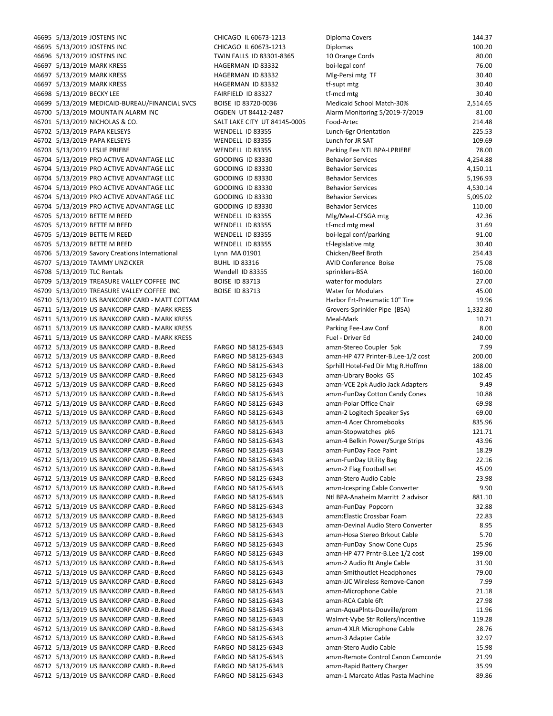46695 5/13/2019 JOSTENS INC CHICAGO IL 60673-1213 D 46696 5/13/2019 JOSTENS INC TWIN FALLS ID 83301-8365 10 46697 5/13/2019 MARK KRESS HAGERMAN ID 83332 boi‐legal conf 76.00 46697 5/13/2019 MARK KRESS HAGERMAN ID 83332 M 46697 5/13/2019 MARK KRESS HAGERMAN ID 83332 tf・ 46698 5/13/2019 BECKY LEE FAIRFIELD ID 83327 tf 46699 5/13/2019 MEDICAID-BUREAU/FINANCIAL SVCS BOISE ID 83720-0036 M 46700 5/13/2019 MOUNTAIN ALARM INC OGDEN UT 84412-2487 A 46701 5/13/2019 NICHOLAS & CO. SALT LAKE CITY UT 84145-0005 FO 46702 5/13/2019 PAPA KELSEYS WENDELL ID 83355 Lu 46702 5/13/2019 PAPA KELSEYS WENDELL ID 83355 Lu 46703 5/13/2019 LESLIE PRIEBE WENDELL ID 83355 Parking Fee NTL BPA 46704 5/13/2019 PRO ACTIVE ADVANTAGE LLC GOODING ID 83330 BB 46704 5/13/2019 PRO ACTIVE ADVANTAGE LLC GOODING ID 83330 BB 46704 5/13/2019 PRO ACTIVE ADVANTAGE LLC GOODING ID 83330 B 46704 5/13/2019 PRO ACTIVE ADVANTAGE LLC GOODING ID 83330 BB 46704 5/13/2019 PRO ACTIVE ADVANTAGE LLC GOODING ID 83330 BB 46704 5/13/2019 PRO ACTIVE ADVANTAGE LLC GOODING ID 83330 BB 46705 5/13/2019 BETTE M REED WENDELL ID 83355 M 46705 5/13/2019 BETTE M REED WENDELL ID 83355 tf-46705 5/13/2019 BETTE M REED WENDELL ID 83355 both both both Parking 91.000 both both parking 91.000 both both p 46705 5/13/2019 BETTE M REED WENDELL ID 83355 tf 46706 5/13/2019 Savory Creations International Lynn MA 01901 Chicken 46707 5/13/2019 TAMMY UNZICKER BUHL ID 83316 AV 46708 5/13/2019 TLC Rentals Springlers Wendell ID 83355 Springlers Springlers 46709 5/13/2019 TREASURE VALLEY COFFEE INC BOISE ID 83713 W 46709 5/13/2019 TREASURE VALLEY COFFEE INC BOISE ID 83713 WATER FOR MODULARS 46.000 WATER FOR MODEL AT MODEL AT 46710 5/13/2019 US BANKCORP CARD - MATT COTTAM Harbor Free Harbor Free Harbor Free H 46711 5/13/2019 US BANKCORP CARD - MARK KRESS Group (Group) Group (Group) Group (BSA) 1,332.80 46711 5/13/2019 US BANKCORP CARD - MARK KRESS Meanwhile the Mark 10.711 S/13/2019 US BANKCORP CARD - MARK KRESS 46711 5/13/2019 US BANKCORP CARD - MARK KRESS Parking Fee and the USA of Parking Fee and The Conference of Par 46711 5/13/2019 US BANKCORP CARD ‐ MARK KRESS Fuel ‐ Driver Ed 2 40.00 46712 5/13/2019 US BANKCORP CARD - B.Reed FARGO ND 58125-6343 am 46712 5/13/2019 US BANKCORP CARD - B.Reed FARGO ND 58125-6343 am 46712 5/13/2019 US BANKCORP CARD - B.Reed FARGO ND 58125-6343 Sr 46712 5/13/2019 US BANKCORP CARD - B.Reed FARGO ND 58125-6343 am 46712 5/13/2019 US BANKCORP CARD - B.Reed FARGO ND 58125-6343 am 46712 5/13/2019 US BANKCORP CARD - B.Reed FARGO ND 58125-6343 am 46712 5/13/2019 US BANKCORP CARD - B.Reed FARGO ND 58125-6343 am 46712 5/13/2019 US BANKCORP CARD - B.Reed FARGO ND 58125-6343 am 46712 5/13/2019 US BANKCORP CARD - B.Reed FARGO ND 58125-6343 am 46712 5/13/2019 US BANKCORP CARD - B.Reed FARGO ND 58125-6343 am 46712 5/13/2019 US BANKCORP CARD - B.Reed FARGO ND 58125-6343 am 46712 5/13/2019 US BANKCORP CARD - B.Reed FARGO ND 58125-6343 am 46712 5/13/2019 US BANKCORP CARD - B.Reed FARGO ND 58125-6343 am 46712 5/13/2019 US BANKCORP CARD - B.Reed FARGO ND 58125-6343 am 46712 5/13/2019 US BANKCORP CARD - B.Reed FARGO ND 58125-6343 am 46712 5/13/2019 US BANKCORP CARD - B.Reed FARGO ND 58125-6343 am 46712 5/13/2019 US BANKCORP CARD - B.Reed FARGO ND 58125-6343 Ntl BPA 46712 5/13/2019 US BANKCORP CARD - B.Reed FARGO ND 58125-6343 am 46712 5/13/2019 US BANKCORP CARD - B.Reed FARGO ND 58125-6343 am 46712 5/13/2019 US BANKCORP CARD - B.Reed FARGO ND 58125-6343 am 46712 5/13/2019 US BANKCORP CARD - B.Reed FARGO ND 58125-6343 am 46712 5/13/2019 US BANKCORP CARD - B.Reed FARGO ND 58125-6343 am 46712 5/13/2019 US BANKCORP CARD - B.Reed FARGO ND 58125-6343 am 46712 5/13/2019 US BANKCORP CARD - B.Reed FARGO ND 58125-6343 am 46712 5/13/2019 US BANKCORP CARD - B.Reed FARGO ND 58125-6343 am 46712 5/13/2019 US BANKCORP CARD - B.Reed FARGO ND 58125-6343 am 46712 5/13/2019 US BANKCORP CARD - B.Reed FARGO ND 58125-6343 am 46712 5/13/2019 US BANKCORP CARD - B.Reed FARGO ND 58125-6343 am 46712 5/13/2019 US BANKCORP CARD - B.Reed FARGO ND 58125-6343 am 46712 5/13/2019 US BANKCORP CARD - B.Reed FARGO ND 58125-6343 W 46712 5/13/2019 US BANKCORP CARD - B.Reed FARGO ND 58125-6343 am 46712 5/13/2019 US BANKCORP CARD - B.Reed FARGO ND 58125-6343 am 46712 5/13/2019 US BANKCORP CARD - B.Reed FARGO ND 58125-6343 am 46712 5/13/2019 US BANKCORP CARD - B.Reed FARGO ND 58125-6343 am 46712 5/13/2019 US BANKCORP CARD - B.Reed FARGO ND 58125-6343 am 46712 5/13/2019 US BANKCORP CARD - B.Reed FARGO ND 58125-6343 am

46695 5/13/2019 JOSTENS INC CHICAGO IL 60673-1213 D

| iploma Covers                                                     | 144.37            |
|-------------------------------------------------------------------|-------------------|
| iplomas                                                           | 100.20            |
| 0 Orange Cords                                                    | 80.00             |
| oi-legal conf                                                     | 76.00             |
| Ilg-Persi mtg TF                                                  | 30.40             |
| -supt mtg                                                         | 30.40             |
| -mcd mtg<br>ledicaid School Match-30%                             | 30.40<br>2,514.65 |
| larm Monitoring 5/2019-7/2019                                     | 81.00             |
| ood-Artec                                                         | 214.48            |
| unch-6gr Orientation                                              | 225.53            |
| unch for JR SAT                                                   | 109.69            |
| arking Fee NTL BPA-LPRIEBE                                        | 78.00             |
| ehavior Services                                                  | 4,254.88          |
| ehavior Services                                                  | 4,150.11          |
| ehavior Services                                                  | 5,196.93          |
| ehavior Services                                                  | 4,530.14          |
| ehavior Services                                                  | 5,095.02          |
| ehavior Services                                                  | 110.00            |
| llg/Meal-CFSGA mtg                                                | 42.36             |
| -mcd mtg meal                                                     | 31.69             |
| oi-legal conf/parking                                             | 91.00             |
| -legislative mtg                                                  | 30.40             |
| hicken/Beef Broth                                                 | 254.43            |
| <b>VID Conference Boise</b>                                       | 75.08             |
| orinklers-BSA                                                     | 160.00            |
| ater for modulars                                                 | 27.00             |
| ater for Modulars<br>arbor Frt-Pneumatic 10" Tire                 | 45.00<br>19.96    |
| rovers-Sprinkler Pipe (BSA)                                       | 1,332.80          |
| leal-Mark                                                         | 10.71             |
| arking Fee-Law Conf                                               | 8.00              |
| uel - Driver Ed                                                   | 240.00            |
| mzn-Stereo Coupler 5pk                                            | 7.99              |
| mzn-HP 477 Printer-B.Lee-1/2 cost                                 | 200.00            |
| orhill Hotel-Fed Dir Mtg R.Hoffmn                                 | 188.00            |
| mzn-Library Books GS                                              | 102.45            |
| mzn-VCE 2pk Audio Jack Adapters                                   | 9.49              |
| mzn-FunDay Cotton Candy Cones                                     | 10.88             |
| mzn-Polar Office Chair                                            | 69.98             |
| mzn-2 Logitech Speaker Sys                                        | 69.00             |
| mzn-4 Acer Chromebooks                                            | 835.96            |
| mzn-Stopwatches pk6                                               | 121.71            |
| mzn-4 Belkin Power/Surge Strips                                   | 43.96             |
| mzn-FunDay Face Paint                                             | 18.29             |
| mzn-FunDay Utility Bag                                            | 22.16             |
| mzn-2 Flag Football set                                           | 45.09             |
| mzn-Stero Audio Cable                                             | 23.98             |
| mzn-Icespring Cable Converter<br>tl BPA-Anaheim Marritt 2 advisor | 9.90<br>881.10    |
| mzn-FunDay Popcorn                                                | 32.88             |
| mzn:Elastic Crossbar Foam                                         | 22.83             |
| mzn-Devinal Audio Stero Converter                                 | 8.95              |
| mzn-Hosa Stereo Brkout Cable                                      | 5.70              |
| mzn-FunDay Snow Cone Cups                                         | 25.96             |
| mzn-HP 477 Prntr-B.Lee 1/2 cost                                   | 199.00            |
| mzn-2 Audio Rt Angle Cable                                        | 31.90             |
| mzn-Smithoutlet Headphones                                        | 79.00             |
| mzn-JJC Wireless Remove-Canon                                     | 7.99              |
| mzn-Microphone Cable                                              | 21.18             |
| mzn-RCA Cable 6ft                                                 | 27.98             |
| mzn-AquaPInts-Douville/prom                                       | 11.96             |
| /almrt-Vybe Str Rollers/incentive                                 | 119.28            |
| mzn-4 XLR Microphone Cable                                        | 28.76             |
| mzn-3 Adapter Cable                                               | 32.97             |
| mzn-Stero Audio Cable                                             | 15.98             |
| mzn-Remote Control Canon Camcorde                                 | 21.99             |
| mzn-Rapid Battery Charger                                         | 35.99             |
| mzn-1 Marcato Atlas Pasta Machine                                 | 89.86             |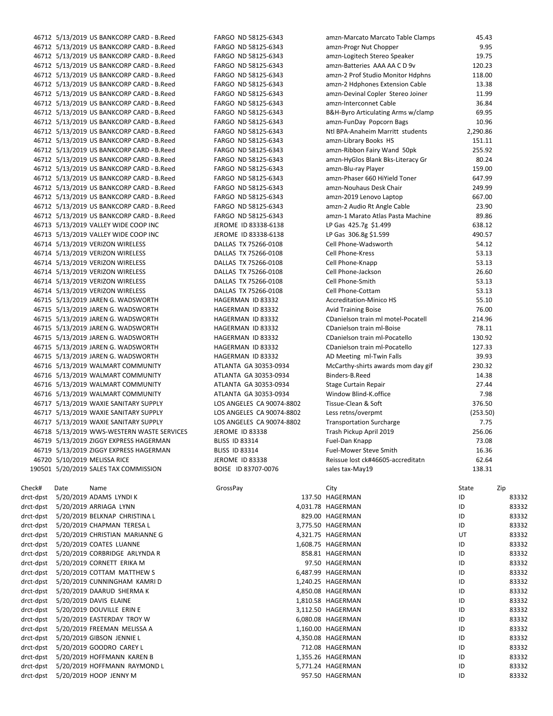|           | 46712 5/13/2019 US BANKCORP CARD - B.Reed  | FARGO ND 58125-6343       | amzn-Marcato Marcato Table Clamps  | 45.43    |       |
|-----------|--------------------------------------------|---------------------------|------------------------------------|----------|-------|
|           | 46712 5/13/2019 US BANKCORP CARD - B.Reed  | FARGO ND 58125-6343       | amzn-Progr Nut Chopper             | 9.95     |       |
|           | 46712 5/13/2019 US BANKCORP CARD - B.Reed  | FARGO ND 58125-6343       | amzn-Logitech Stereo Speaker       | 19.75    |       |
|           | 46712 5/13/2019 US BANKCORP CARD - B.Reed  | FARGO ND 58125-6343       | amzn-Batteries AAA AA C D 9v       | 120.23   |       |
|           | 46712 5/13/2019 US BANKCORP CARD - B.Reed  | FARGO ND 58125-6343       | amzn-2 Prof Studio Monitor Hdphns  | 118.00   |       |
|           | 46712 5/13/2019 US BANKCORP CARD - B.Reed  | FARGO ND 58125-6343       | amzn-2 Hdphones Extension Cable    | 13.38    |       |
|           | 46712 5/13/2019 US BANKCORP CARD - B.Reed  | FARGO ND 58125-6343       | amzn-Devinal Copler Stereo Joiner  | 11.99    |       |
|           | 46712 5/13/2019 US BANKCORP CARD - B.Reed  | FARGO ND 58125-6343       | amzn-Interconnet Cable             | 36.84    |       |
|           | 46712 5/13/2019 US BANKCORP CARD - B.Reed  | FARGO ND 58125-6343       | B&H-Byro Articulating Arms w/clamp | 69.95    |       |
|           | 46712 5/13/2019 US BANKCORP CARD - B.Reed  | FARGO ND 58125-6343       | amzn-FunDay Popcorn Bags           | 10.96    |       |
|           | 46712 5/13/2019 US BANKCORP CARD - B.Reed  | FARGO ND 58125-6343       | Ntl BPA-Anaheim Marritt students   | 2,290.86 |       |
|           | 46712 5/13/2019 US BANKCORP CARD - B.Reed  | FARGO ND 58125-6343       | amzn-Library Books HS              | 151.11   |       |
|           | 46712 5/13/2019 US BANKCORP CARD - B.Reed  | FARGO ND 58125-6343       | amzn-Ribbon Fairy Wand 50pk        | 255.92   |       |
|           | 46712 5/13/2019 US BANKCORP CARD - B.Reed  | FARGO ND 58125-6343       | amzn-HyGlos Blank Bks-Literacy Gr  | 80.24    |       |
|           | 46712 5/13/2019 US BANKCORP CARD - B.Reed  | FARGO ND 58125-6343       | amzn-Blu-ray Player                | 159.00   |       |
|           | 46712 5/13/2019 US BANKCORP CARD - B.Reed  | FARGO ND 58125-6343       | amzn-Phaser 660 HiYield Toner      | 647.99   |       |
|           | 46712 5/13/2019 US BANKCORP CARD - B.Reed  | FARGO ND 58125-6343       | amzn-Nouhaus Desk Chair            | 249.99   |       |
|           | 46712 5/13/2019 US BANKCORP CARD - B.Reed  | FARGO ND 58125-6343       | amzn-2019 Lenovo Laptop            | 667.00   |       |
|           | 46712 5/13/2019 US BANKCORP CARD - B.Reed  | FARGO ND 58125-6343       | amzn-2 Audio Rt Angle Cable        | 23.90    |       |
|           | 46712 5/13/2019 US BANKCORP CARD - B.Reed  | FARGO ND 58125-6343       | amzn-1 Marato Atlas Pasta Machine  | 89.86    |       |
|           | 46713 5/13/2019 VALLEY WIDE COOP INC       | JEROME ID 83338-6138      | LP Gas 425.7g \$1.499              | 638.12   |       |
|           | 46713 5/13/2019 VALLEY WIDE COOP INC       | JEROME ID 83338-6138      | LP Gas 306.8g \$1.599              | 490.57   |       |
|           | 46714 5/13/2019 VERIZON WIRELESS           | DALLAS TX 75266-0108      | Cell Phone-Wadsworth               | 54.12    |       |
|           | 46714 5/13/2019 VERIZON WIRELESS           | DALLAS TX 75266-0108      | Cell Phone-Kress                   | 53.13    |       |
|           | 46714 5/13/2019 VERIZON WIRELESS           | DALLAS TX 75266-0108      | Cell Phone-Knapp                   | 53.13    |       |
|           | 46714 5/13/2019 VERIZON WIRELESS           | DALLAS TX 75266-0108      | Cell Phone-Jackson                 | 26.60    |       |
|           | 46714 5/13/2019 VERIZON WIRELESS           | DALLAS TX 75266-0108      | Cell Phone-Smith                   | 53.13    |       |
|           | 46714 5/13/2019 VERIZON WIRELESS           | DALLAS TX 75266-0108      | Cell Phone-Cottam                  | 53.13    |       |
|           | 46715 5/13/2019 JAREN G. WADSWORTH         | HAGERMAN ID 83332         | <b>Accreditation-Minico HS</b>     | 55.10    |       |
|           |                                            |                           |                                    | 76.00    |       |
|           | 46715 5/13/2019 JAREN G. WADSWORTH         | HAGERMAN ID 83332         | <b>Avid Training Boise</b>         |          |       |
|           | 46715 5/13/2019 JAREN G. WADSWORTH         | HAGERMAN ID 83332         | CDanielson train ml motel-Pocatell | 214.96   |       |
|           | 46715 5/13/2019 JAREN G. WADSWORTH         | HAGERMAN ID 83332         | CDanielson train ml-Boise          | 78.11    |       |
|           | 46715 5/13/2019 JAREN G. WADSWORTH         | HAGERMAN ID 83332         | CDanielson train ml-Pocatello      | 130.92   |       |
|           | 46715 5/13/2019 JAREN G. WADSWORTH         | HAGERMAN ID 83332         | CDanielson train ml-Pocatello      | 127.33   |       |
|           | 46715 5/13/2019 JAREN G. WADSWORTH         | HAGERMAN ID 83332         | AD Meeting ml-Twin Falls           | 39.93    |       |
|           | 46716 5/13/2019 WALMART COMMUNITY          | ATLANTA GA 30353-0934     | McCarthy-shirts awards mom day gif | 230.32   |       |
|           | 46716 5/13/2019 WALMART COMMUNITY          | ATLANTA GA 30353-0934     | Binders-B.Reed                     | 14.38    |       |
|           | 46716 5/13/2019 WALMART COMMUNITY          | ATLANTA GA 30353-0934     | Stage Curtain Repair               | 27.44    |       |
|           | 46716 5/13/2019 WALMART COMMUNITY          | ATLANTA GA 30353-0934     | Window Blind-K.office              | 7.98     |       |
|           | 46717 5/13/2019 WAXIE SANITARY SUPPLY      | LOS ANGELES CA 90074-8802 | Tissue-Clean & Soft                | 376.50   |       |
|           | 46717 5/13/2019 WAXIE SANITARY SUPPLY      | LOS ANGELES CA 90074-8802 | Less retns/overpmt                 | (253.50) |       |
|           | 46717 5/13/2019 WAXIE SANITARY SUPPLY      | LOS ANGELES CA 90074-8802 | <b>Transportation Surcharge</b>    | 7.75     |       |
|           | 46718 5/13/2019 WWS-WESTERN WASTE SERVICES | <b>JEROME ID 83338</b>    | Trash Pickup April 2019            | 256.06   |       |
|           | 46719 5/13/2019 ZIGGY EXPRESS HAGERMAN     | <b>BLISS ID 83314</b>     | Fuel-Dan Knapp                     | 73.08    |       |
|           | 46719 5/13/2019 ZIGGY EXPRESS HAGERMAN     | <b>BLISS ID 83314</b>     | Fuel-Mower Steve Smith             | 16.36    |       |
|           | 46720 5/10/2019 MELISSA RICE               | JEROME ID 83338           | Reissue lost ck#46605-accreditatn  | 62.64    |       |
|           | 190501 5/20/2019 SALES TAX COMMISSION      | BOISE ID 83707-0076       | sales tax-May19                    | 138.31   |       |
|           |                                            |                           |                                    |          |       |
| Check#    | Date<br>Name                               | GrossPay                  | City                               | State    | Zip   |
| drct-dpst | 5/20/2019 ADAMS LYNDI K                    |                           | 137.50 HAGERMAN                    | ID       | 83332 |
| drct-dpst | 5/20/2019 ARRIAGA LYNN                     |                           | 4,031.78 HAGERMAN                  | ID       | 83332 |
| drct-dpst | 5/20/2019 BELKNAP CHRISTINA L              |                           | 829.00 HAGERMAN                    | ID       | 83332 |
| drct-dpst | 5/20/2019 CHAPMAN TERESA L                 |                           | 3,775.50 HAGERMAN                  | ID       | 83332 |
| drct-dpst | 5/20/2019 CHRISTIAN MARIANNE G             |                           | 4,321.75 HAGERMAN                  | UT       | 83332 |
| drct-dpst | 5/20/2019 COATES LUANNE                    |                           | 1,608.75 HAGERMAN                  | ID       | 83332 |
| drct-dpst | 5/20/2019 CORBRIDGE ARLYNDA R              |                           | 858.81 HAGERMAN                    | ID       | 83332 |
| drct-dpst | 5/20/2019 CORNETT ERIKA M                  |                           | 97.50 HAGERMAN                     | ID       | 83332 |
| drct-dpst | 5/20/2019 COTTAM MATTHEW S                 |                           | 6,487.99 HAGERMAN                  | ID       | 83332 |
| drct-dpst | 5/20/2019 CUNNINGHAM KAMRI D               |                           | 1,240.25 HAGERMAN                  | ID       | 83332 |
| drct-dpst | 5/20/2019 DAARUD SHERMA K                  |                           | 4,850.08 HAGERMAN                  | ID       | 83332 |
| drct-dpst | 5/20/2019 DAVIS ELAINE                     |                           | 1,810.58 HAGERMAN                  | ID       | 83332 |
| drct-dpst | 5/20/2019 DOUVILLE ERIN E                  |                           | 3,112.50 HAGERMAN                  | ID       | 83332 |
| drct-dpst | 5/20/2019 EASTERDAY TROY W                 |                           | 6,080.08 HAGERMAN                  | ID       | 83332 |
| drct-dpst | 5/20/2019 FREEMAN MELISSA A                |                           | 1,160.00 HAGERMAN                  | ID       | 83332 |
| drct-dpst | 5/20/2019 GIBSON JENNIE L                  |                           | 4,350.08 HAGERMAN                  | ID       | 83332 |
| drct-dpst | 5/20/2019 GOODRO CAREY L                   |                           | 712.08 HAGERMAN                    | ID       | 83332 |
| drct-dpst | 5/20/2019 HOFFMANN KAREN B                 |                           | 1,355.26 HAGERMAN                  | ID       | 83332 |
| drct-dpst | 5/20/2019 HOFFMANN RAYMOND L               |                           | 5,771.24 HAGERMAN                  | ID       | 83332 |
| drct-dpst | 5/20/2019 HOOP JENNY M                     |                           | 957.50 HAGERMAN                    | ID       | 83332 |
|           |                                            |                           |                                    |          |       |